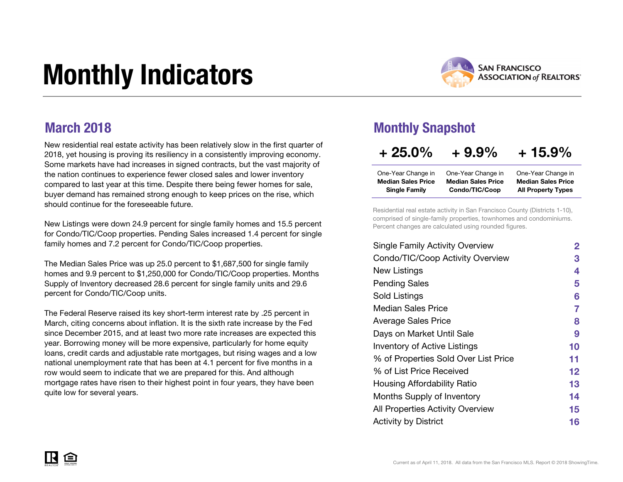# Monthly Indicators



### March 2018

New residential real estate activity has been relatively slow in the first quarter of 2018, yet housing is proving its resiliency in a consistently improving economy. Some markets have had increases in signed contracts, but the vast majority of the nation continues to experience fewer closed sales and lower inventory compared to last year at this time. Despite there being fewer homes for sale, buyer demand has remained strong enough to keep prices on the rise, which should continue for the foreseeable future.

New Listings were down 24.9 percent for single family homes and 15.5 percent for Condo/TIC/Coop properties. Pending Sales increased 1.4 percent for single family homes and 7.2 percent for Condo/TIC/Coop properties.

The Median Sales Price was up 25.0 percent to \$1,687,500 for single family homes and 9.9 percent to \$1,250,000 for Condo/TIC/Coop properties. Months Supply of Inventory decreased 28.6 percent for single family units and 29.6 percent for Condo/TIC/Coop units.

The Federal Reserve raised its key short-term interest rate by .25 percent in March, citing concerns about inflation. It is the sixth rate increase by the Fed since December 2015, and at least two more rate increases are expected this year. Borrowing money will be more expensive, particularly for home equity loans, credit cards and adjustable rate mortgages, but rising wages and a low national unemployment rate that has been at 4.1 percent for five months in a row would seem to indicate that we are prepared for this. And although mortgage rates have risen to their highest point in four years, they have been quite low for several years.

### Monthly Snapshot

| $+25.0%$                  | $+9.9\%$                  | $+15.9\%$                 |
|---------------------------|---------------------------|---------------------------|
| One-Year Change in        | One-Year Change in        | One-Year Change in        |
| <b>Median Sales Price</b> | <b>Median Sales Price</b> | <b>Median Sales Price</b> |
| <b>Single Family</b>      | Condo/TIC/Coop            | <b>All Property Types</b> |

Residential real estate activity in San Francisco County (Districts 1-10), comprised of single-family properties, townhomes and condominiums. Percent changes are calculated using rounded figures.

| <b>Single Family Activity Overview</b> | $\mathbf{2}$ |
|----------------------------------------|--------------|
| Condo/TIC/Coop Activity Overview       | 3            |
| New Listings                           | 4            |
| <b>Pending Sales</b>                   | 5            |
| Sold Listings                          | 6            |
| Median Sales Price                     | 7            |
| <b>Average Sales Price</b>             | 8            |
| Days on Market Until Sale              | 9            |
| <b>Inventory of Active Listings</b>    | 10           |
| % of Properties Sold Over List Price   | 11           |
| % of List Price Received               | 12           |
| Housing Affordability Ratio            | 13           |
| Months Supply of Inventory             | 14           |
| All Properties Activity Overview       | 15           |
| <b>Activity by District</b>            | 16           |

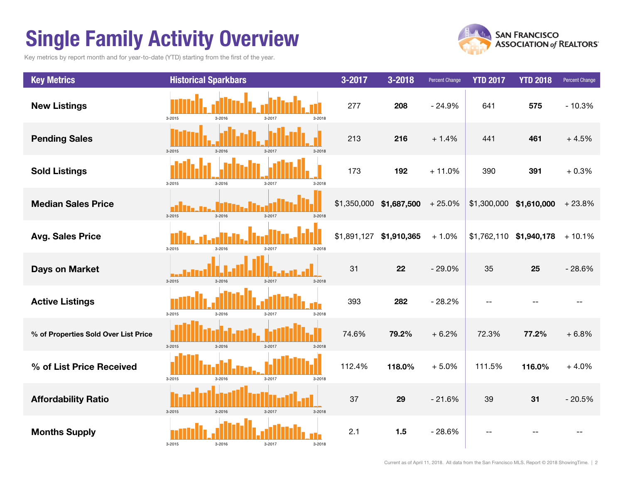# Single Family Activity Overview

Key metrics by report month and for year-to-date (YTD) starting from the first of the year.



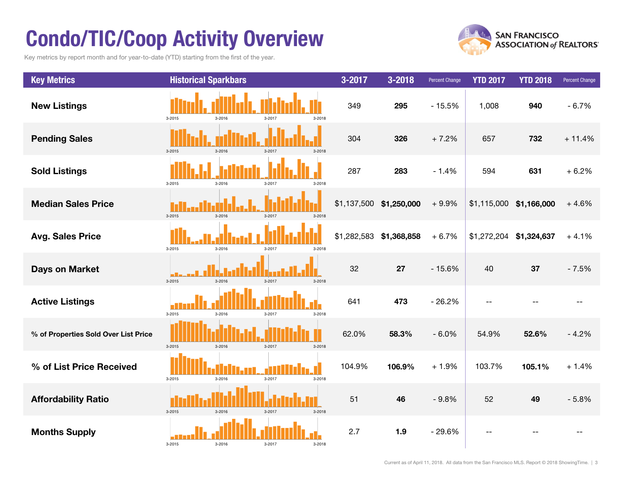# Condo/TIC/Coop Activity Overview

Key metrics by report month and for year-to-date (YTD) starting from the first of the year.



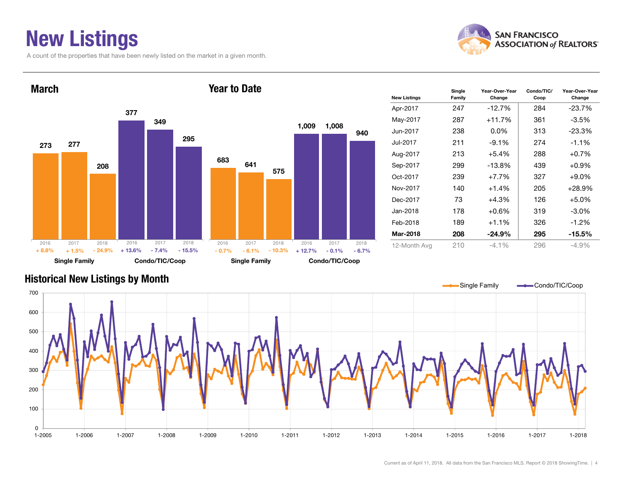### New Listings

A count of the properties that have been newly listed on the market in a given month.



Change



### Historical New Listings by Month

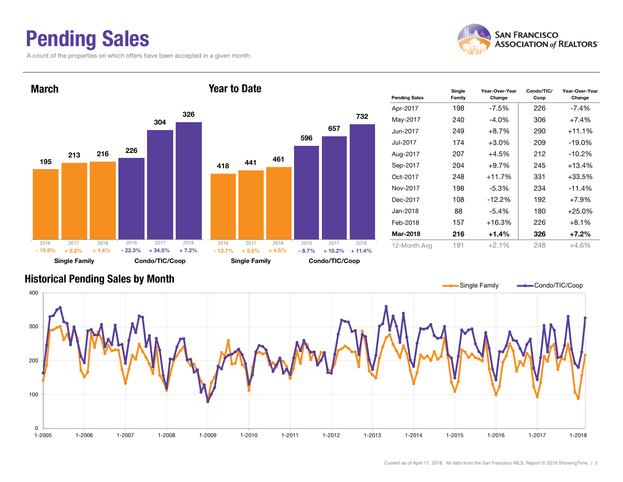### Pending Sales

A count of the properties on which offers have been accepted in a given month.





#### Historical Pending Sales by Month

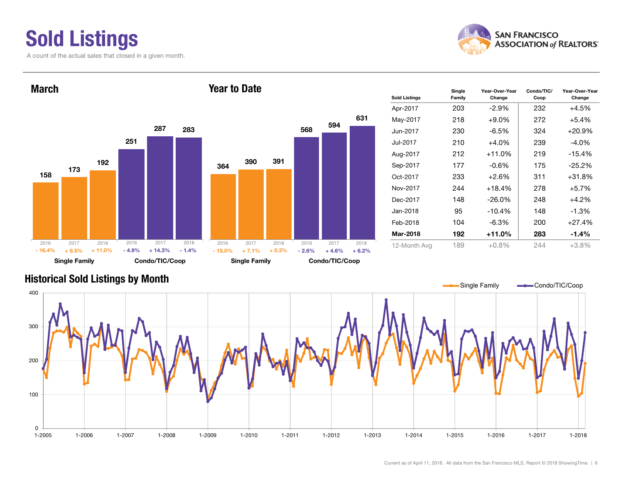# Sold Listings

**SAN FRANCISCO ASSOCIATION of REALTORS'** 





| <b>Sold Listings</b> | Single<br>Family | Year-Over-Year<br>Change | Condo/TIC/<br>Coop | Year-Over-Year<br>Change |
|----------------------|------------------|--------------------------|--------------------|--------------------------|
| Apr-2017             | 203              | -2.9%                    | 232                | $+4.5%$                  |
| May-2017             | 218              | $+9.0%$                  | 272                | $+5.4%$                  |
| Jun-2017             | 230              | $-6.5\%$                 | 324                | $+20.9\%$                |
| Jul-2017             | 210              | $+4.0%$                  | 239                | $-4.0\%$                 |
| Aug-2017             | 212              | $+11.0%$                 | 219                | $-15.4%$                 |
| Sep-2017             | 177              | $-0.6\%$                 | 175                | $-25.2\%$                |
| Oct-2017             | 233              | $+2.6%$                  | 311                | +31.8%                   |
| Nov-2017             | 244              | $+18.4%$                 | 278                | $+5.7%$                  |
| Dec-2017             | 148              | $-26.0\%$                | 248                | $+4.2%$                  |
| Jan-2018             | 95               | $-10.4%$                 | 148                | $-1.3%$                  |
| Feb-2018             | 104              | $-6.3\%$                 | 200                | $+27.4%$                 |
| Mar-2018             | 192              | +11.0%                   | 283                | $-1.4%$                  |
| 12-Month Avg         | 189              | $+0.8\%$                 | 244                | $+3.8%$                  |

### Historical Sold Listings by Month

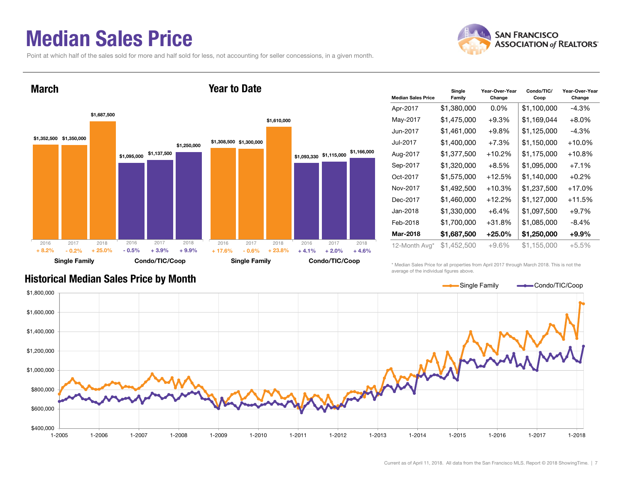### Median Sales Price

Point at which half of the sales sold for more and half sold for less, not accounting for seller concessions, in a given month.





| <b>Median Sales Price</b> | Single<br>Family | Year-Over-Year<br>Change | Condo/TIC/<br>Coop | Year-Over-Year<br>Change |
|---------------------------|------------------|--------------------------|--------------------|--------------------------|
| Apr-2017                  | \$1,380,000      | $0.0\%$                  | \$1,100,000        | $-4.3%$                  |
| May-2017                  | \$1,475,000      | $+9.3%$                  | \$1,169,044        | $+8.0\%$                 |
| Jun-2017                  | \$1,461,000      | $+9.8%$                  | \$1,125,000        | -4.3%                    |
| Jul-2017                  | \$1,400,000      | $+7.3%$                  | \$1,150,000        | $+10.0\%$                |
| Aug-2017                  | \$1,377,500      | $+10.2%$                 | \$1,175,000        | $+10.8%$                 |
| Sep-2017                  | \$1,320,000      | $+8.5%$                  | \$1,095,000        | $+7.1%$                  |
| Oct-2017                  | \$1,575,000      | $+12.5%$                 | \$1,140,000        | $+0.2%$                  |
| Nov-2017                  | \$1,492,500      | $+10.3%$                 | \$1,237,500        | $+17.0%$                 |
| Dec-2017                  | \$1,460,000      | $+12.2%$                 | \$1,127,000        | $+11.5%$                 |
| Jan-2018                  | \$1,330,000      | $+6.4%$                  | \$1,097,500        | $+9.7%$                  |
| Feb-2018                  | \$1,700,000      | $+31.8%$                 | \$1,085,000        | $-8.4\%$                 |
| Mar-2018                  | \$1,687,500      | $+25.0%$                 | \$1,250,000        | $+9.9\%$                 |
| 12-Month Avg*             | \$1,452,500      | $+9.6%$                  | \$1,155,000        | +5.5%                    |

\* Median Sales Price for all properties from April 2017 through March 2018. This is not the average of the individual figures above.



### Historical Median Sales Price by Month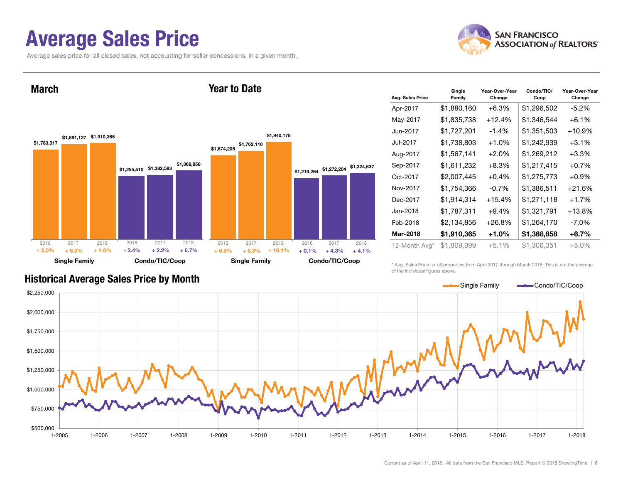### Average Sales Price

Average sales price for all closed sales, not accounting for seller concessions, in a given month.



March





| Avg. Sales Price | Single<br>Family | Year-Over-Year<br>Change | Condo/TIC/<br>Coop | Year-Over-Year<br>Change |
|------------------|------------------|--------------------------|--------------------|--------------------------|
| Apr-2017         | \$1,880,160      | $+6.3%$                  | \$1,296,502        | $-5.2\%$                 |
| May-2017         | \$1,835,738      | $+12.4%$                 | \$1,346,544        | $+6.1\%$                 |
| Jun-2017         | \$1,727,201      | $-1.4%$                  | \$1,351,503        | $+10.9%$                 |
| Jul-2017         | \$1,738,803      | $+1.0%$                  | \$1,242,939        | $+3.1%$                  |
| Aug-2017         | \$1,567,141      | $+2.0%$                  | \$1,269,212        | $+3.3%$                  |
| Sep-2017         | \$1,611,232      | $+8.3%$                  | \$1,217,415        | $+0.7%$                  |
| Oct-2017         | \$2,007,445      | $+0.4%$                  | \$1,275,773        | $+0.9\%$                 |
| Nov-2017         | \$1,754,366      | $-0.7%$                  | \$1,386,511        | $+21.6%$                 |
| Dec-2017         | \$1,914,314      | $+15.4%$                 | \$1,271,118        | +1.7%                    |
| Jan-2018         | \$1,787,311      | $+9.4%$                  | \$1,321,791        | $+13.8%$                 |
| Feb-2018         | \$2,134,856      | $+26.8%$                 | \$1,264,170        | -7.0%                    |
| Mar-2018         | \$1,910,365      | +1.0%                    | \$1,368,858        | $+6.7\%$                 |
| 12-Month Avg*    | \$1,809,099      | $+5.1%$                  | \$1,306,351        | $+5.0%$                  |

\* Avg. Sales Price for all properties from April 2017 through March 2018. This is not the average of the individual figures above.



Historical Average Sales Price by Month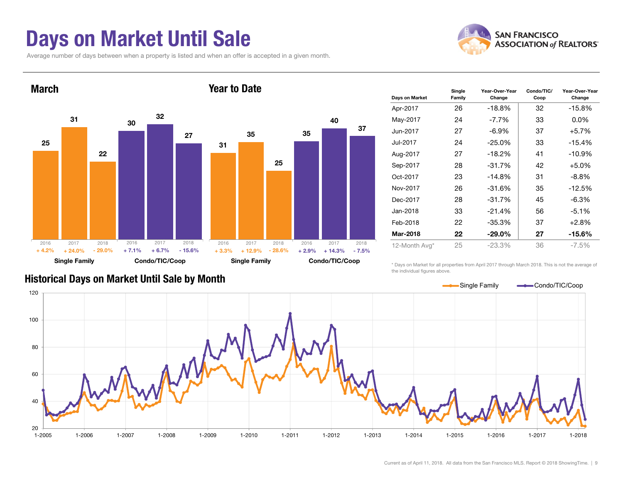### Days on Market Until Sale

Average number of days between when a property is listed and when an offer is accepted in a given month.





| Days on Market | Single<br>Family | Year-Over-Year<br>Change | Condo/TIC/<br>Coop | Year-Over-Year<br>Change |    |          |
|----------------|------------------|--------------------------|--------------------|--------------------------|----|----------|
| Apr-2017       | 26               | $-18.8%$                 | 32                 | $-15.8%$                 |    |          |
| May-2017       | 24               | $-7.7\%$                 | 33                 | $0.0\%$                  |    |          |
| Jun-2017       | 27               | -6.9%                    | 37                 | $+5.7%$                  |    |          |
| Jul-2017       | 24               |                          | $-25.0\%$          |                          | 33 | $-15.4%$ |
| Aug-2017       | 27               | $-18.2%$                 | 41                 | $-10.9\%$                |    |          |
| Sep-2017       | 28               | $-31.7%$                 | 42                 | $+5.0%$                  |    |          |
| Oct-2017       | 23               | $-14.8\%$                | 31                 | -8.8%                    |    |          |
| Nov-2017       | 26               | $-31.6%$                 | 35                 | $-12.5%$                 |    |          |
| Dec-2017       | 28               | $-31.7%$                 | 45                 | $-6.3\%$                 |    |          |
| Jan-2018       | 33               | $-21.4%$                 | 56                 | $-5.1%$                  |    |          |
| Feb-2018       | 22               | $-35.3%$                 | 37                 | $+2.8%$                  |    |          |
| Mar-2018       | 22               | $-29.0\%$                | 27                 | -15.6%                   |    |          |
| 12-Month Avg*  | 25               | $-23.3%$                 | 36                 | $-7.5\%$                 |    |          |

\* Days on Market for all properties from April 2017 through March 2018. This is not the average of the individual figures above.



#### Historical Days on Market Until Sale by Month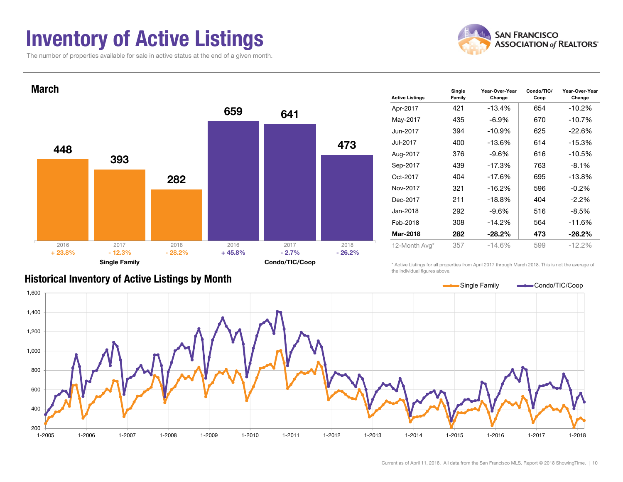### Inventory of Active Listings

The number of properties available for sale in active status at the end of a given month.





| <b>Active Listings</b> | Single<br>Family | Year-Over-Year<br>Change | Condo/TIC/<br>Coop | Year-Over-Year<br>Change |
|------------------------|------------------|--------------------------|--------------------|--------------------------|
| Apr-2017               | 421              | $-13.4%$                 | 654                | $-10.2%$                 |
| May-2017               | 435              | $-6.9\%$                 | 670                | $-10.7%$                 |
| Jun-2017               | 394              | $-10.9%$                 | 625                | $-22.6%$                 |
| Jul-2017               | 400              | $-13.6%$                 | 614                | $-15.3%$                 |
| Aug-2017               | 376              | $-9.6\%$                 | 616                | $-10.5%$                 |
| Sep-2017               | 439              | $-17.3%$                 | 763                | $-8.1%$                  |
| Oct-2017               | 404              | $-17.6%$                 | 695                | $-13.8%$                 |
| Nov-2017               | 321              | $-16.2%$                 | 596                | $-0.2\%$                 |
| Dec-2017               | 211              | $-18.8%$                 | 404                | $-2.2\%$                 |
| Jan-2018               | 292              | $-9.6\%$                 | 516                | $-8.5%$                  |
| Feb-2018               | 308              | $-14.2%$                 | 564                | $-11.6%$                 |
| Mar-2018               | 282              | $-28.2%$                 | 473                | $-26.2%$                 |
| 12-Month Avg*          | 357              | $-14.6%$                 | 599                | $-12.2%$                 |

#### Historical Inventory of Active Listings by Month

\* Active Listings for all properties from April 2017 through March 2018. This is not the average of the individual figures above.

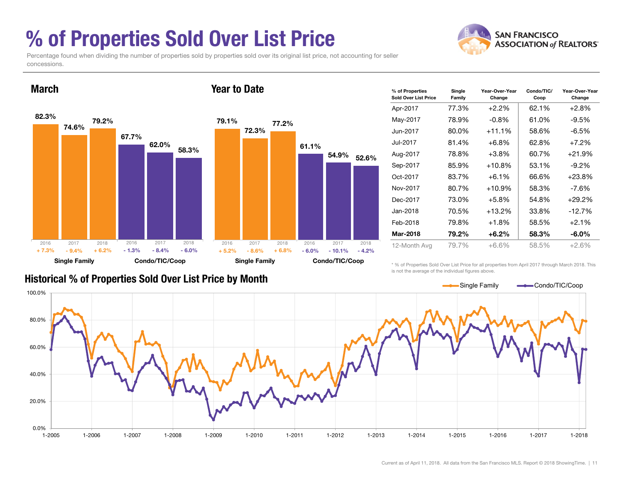### % of Properties Sold Over List Price

**SAN FRANCISCO ASSOCIATION of REALTORS'** 

Percentage found when dividing the number of properties sold by properties sold over its original list price, not accounting for seller concessions.



| % of Properties<br><b>Sold Over List Price</b> | Single<br>Family | Year-Over-Year<br>Change | Condo/TIC/<br>Coop | Year-Over-Year<br>Change |  |
|------------------------------------------------|------------------|--------------------------|--------------------|--------------------------|--|
| Apr-2017                                       | 77.3%            | $+2.2\%$                 | 62.1%              | $+2.8%$                  |  |
| May-2017                                       | 78.9%            | $-0.8%$                  | 61.0%              | $-9.5%$                  |  |
| Jun-2017                                       | 80.0%            | $+11.1%$                 | 58.6%              | -6.5%                    |  |
| Jul-2017                                       | 81.4%            | $+6.8%$                  | 62.8%              | $+7.2%$                  |  |
| Aug-2017                                       | 78.8%            | $+3.8\%$                 | 60.7%              | +21.9%                   |  |
| Sep-2017                                       | 85.9%            | $+10.8%$                 | 53.1%              | $-9.2\%$                 |  |
| Oct-2017                                       | 83.7%            | $+6.1\%$                 | 66.6%              | $+23.8\%$                |  |
| Nov-2017                                       | 80.7%            | $+10.9%$                 | 58.3%              | -7.6%                    |  |
| Dec-2017                                       | 73.0%            | $+5.8%$                  | 54.8%              | $+29.2%$                 |  |
| Jan-2018                                       | 70.5%            | $+13.2%$                 | 33.8%              | $-12.7%$                 |  |
| Feb-2018                                       | 79.8%            | $+1.8%$                  | 58.5%              | $+2.1%$                  |  |
| Mar-2018                                       | 79.2%            | +6.2%                    | 58.3%              | $-6.0\%$                 |  |
| 12-Month Avg                                   | 79.7%            | +6.6%                    | 58.5%              | $+2.6%$                  |  |

### Historical % of Properties Sold Over List Price by Month

\* % of Properties Sold Over List Price for all properties from April 2017 through March 2018. This is not the average of the individual figures above.

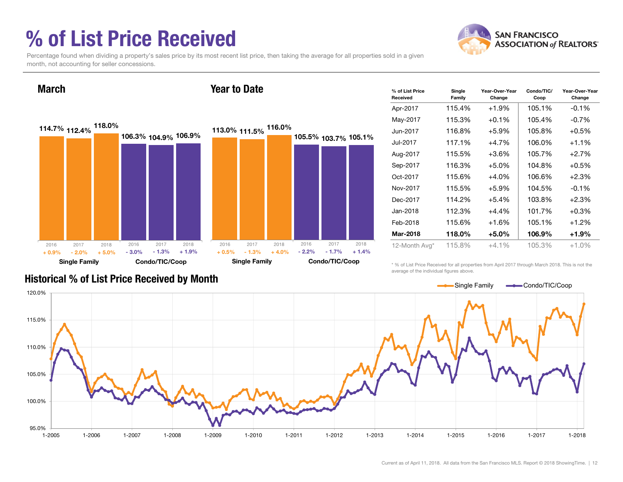## % of List Price Received

March



Percentage found when dividing a property's sales price by its most recent list price, then taking the average for all properties sold in a given month, not accounting for seller concessions.

Year to Date

114.7% 112.4% 106.3% 104.9%106.9% 118.0% Single Family Condo/TIC/Coop 113.0% 111.5% 116.0% 105.5% 103.7%105.1% Single Family Condo/TIC/Coop 2016 2017 2018 - 2.0% $\%$  - 2.0% + 5.0% - 3.0% - 1.3% + 1.9% 2016 2017 2018 + 0.9%2016 2017 2018  $\%$  - 1.3% + 4.0% - 2.2%  $+4.0\%$  - 2.2% - 1.7% + 1.4% 2016 2017 2018 + 0.5%

| % of List Price<br>Received | Single<br>Family | Year-Over-Year<br>Change | Condo/TIC/<br>Coop | Year-Over-Year<br>Change |
|-----------------------------|------------------|--------------------------|--------------------|--------------------------|
| Apr-2017                    | 115.4%           | $+1.9%$                  | 105.1%             | $-0.1%$                  |
| May-2017                    | 115.3%           | $+0.1%$                  | 105.4%             | $-0.7\%$                 |
| Jun-2017                    | 116.8%           | $+5.9%$                  | 105.8%             | $+0.5%$                  |
| Jul-2017                    | 117.1%           | $+4.7%$                  | 106.0%             | $+1.1\%$                 |
| Aug-2017                    | 115.5%           | $+3.6\%$                 | 105.7%             | $+2.7%$                  |
| Sep-2017                    | 116.3%           | $+5.0%$                  | 104.8%             | $+0.5%$                  |
| Oct-2017                    | 115.6%           | $+4.0%$                  | 106.6%             | $+2.3%$                  |
| Nov-2017                    | 115.5%           | $+5.9\%$                 | 104.5%             | $-0.1%$                  |
| Dec-2017                    | 114.2%           | $+5.4%$                  | 103.8%             | $+2.3%$                  |
| Jan-2018                    | 112.3%           | $+4.4%$                  | 101.7%             | $+0.3\%$                 |
| Feb-2018                    | 115.6%           | +1.6%                    | 105.1%             | $+1.2%$                  |
| Mar-2018                    | 118.0%           | +5.0%                    | 106.9%             | $+1.9%$                  |
| 12-Month Avg*               | 115.8%           | $+4.1\%$                 | 105.3%             | $+1.0%$                  |

#### Historical % of List Price Received by Month

\* % of List Price Received for all properties from April 2017 through March 2018. This is not the average of the individual figures above.

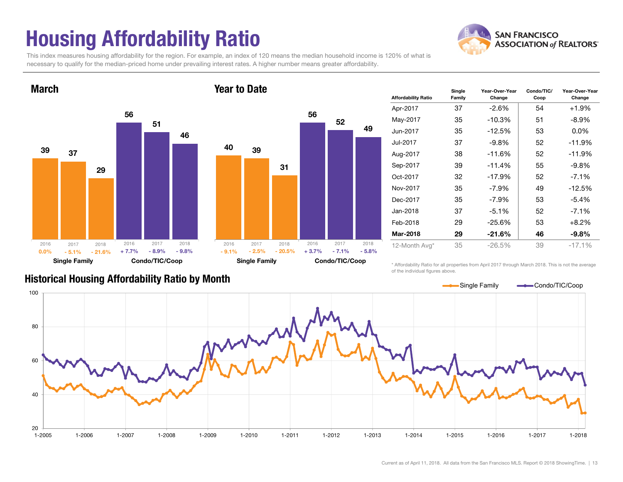# Housing Affordability Ratio

**SAN FRANCISCO ASSOCIATION of REALTORS'** 

This index measures housing affordability for the region. For example, an index of 120 means the median household income is 120% of what is necessary to qualify for the median-priced home under prevailing interest rates. A higher number means greater affordability.





| <b>Affordability Ratio</b> | Single<br>Family | Year-Over-Year<br>Change | Condo/TIC/<br>Coop | Year-Over-Year<br>Change |
|----------------------------|------------------|--------------------------|--------------------|--------------------------|
| Apr-2017                   | 37               | $-2.6\%$                 | 54                 | $+1.9%$                  |
| May-2017                   | 35               | -10.3%                   | 51                 | $-8.9\%$                 |
| Jun-2017                   | 35               | $-12.5%$                 | 53                 | $0.0\%$                  |
| Jul-2017                   | 37               | $-9.8\%$                 | 52                 | $-11.9%$                 |
| Aug-2017                   | 38               | $-11.6%$                 | 52                 | $-11.9%$                 |
| Sep-2017                   | 39               | $-11.4%$                 | 55                 | $-9.8%$                  |
| Oct-2017                   | 32               | $-17.9%$                 | 52                 | $-7.1\%$                 |
| Nov-2017                   | 35               | $-7.9\%$                 | 49                 | $-12.5%$                 |
| Dec-2017                   | 35               | $-7.9\%$                 | 53                 | $-5.4\%$                 |
| Jan-2018                   | 37               | $-5.1%$                  | 52                 | $-7.1\%$                 |
| Feb-2018                   | 29               | $-25.6%$                 | 53                 | $+8.2%$                  |
| Mar-2018                   | 29               | $-21.6%$                 | 46                 | $-9.8\%$                 |
| 12-Month Avg*              | 35               | $-26.5\%$                | 39                 | $-17.1%$                 |

Historical Housing Affordability Ratio by Month

\* Affordability Ratio for all properties from April 2017 through March 2018. This is not the average of the individual figures above.

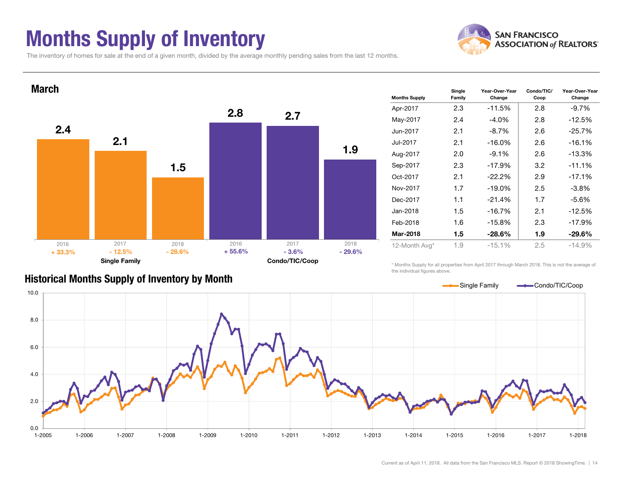### Months Supply of Inventory



The inventory of homes for sale at the end of a given month, divided by the average monthly pending sales from the last 12 months.



| <b>Months Supply</b> | Single<br>Family | Year-Over-Year<br>Change | Condo/TIC/<br>Coop | Year-Over-Year<br>Change |
|----------------------|------------------|--------------------------|--------------------|--------------------------|
| Apr-2017             | 2.3              | $-11.5%$                 | 2.8                | $-9.7%$                  |
| May-2017             | 2.4              | $-4.0\%$                 | 2.8                | $-12.5%$                 |
| Jun-2017             | 2.1              | $-8.7\%$                 | 2.6                |                          |
| Jul-2017             | 2.1              | $-16.0\%$                | 2.6                | $-16.1%$                 |
| Aug-2017             | 2.0              | $-9.1%$                  | 2.6                | $-13.3%$                 |
| Sep-2017             | 2.3              | $-17.9%$                 | 3.2                | $-11.1%$                 |
| Oct-2017             | 2.1              | $-22.2\%$                | 2.9                | $-17.1%$                 |
| Nov-2017             | 1.7              | $-19.0%$                 | 2.5                | $-3.8\%$                 |
| Dec-2017             | 1.1              | $-21.4%$                 | 1.7                | $-5.6%$                  |
| Jan-2018             | 1.5              | $-16.7%$                 | 2.1                | $-12.5%$                 |
| Feb-2018             | 1.6              | $-15.8%$                 | 2.3                | $-17.9%$                 |
| Mar-2018             | 1.5              | $-28.6\%$                | 1.9                | $-29.6\%$                |
| 12-Month Avg*        | 1.9              | $-15.1%$                 | 2.5                | $-14.9%$                 |

### Historical Months Supply of Inventory by Month

\* Months Supply for all properties from April 2017 through March 2018. This is not the average of the individual figures above.

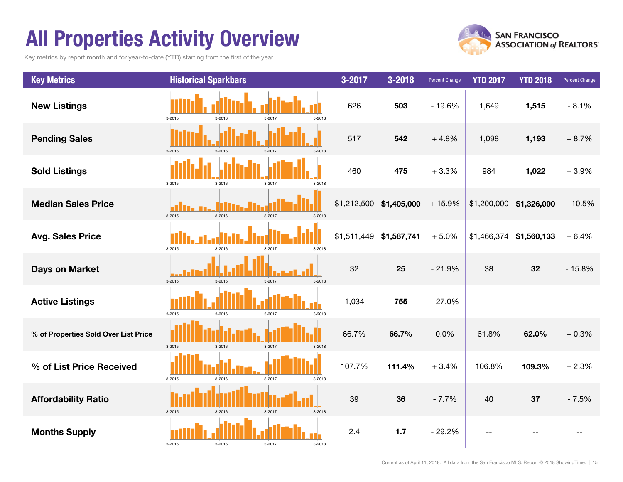## All Properties Activity Overview

Key metrics by report month and for year-to-date (YTD) starting from the first of the year.